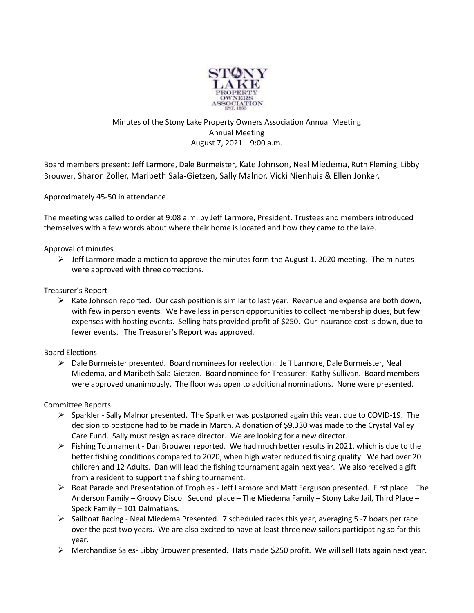

# Minutes of the Stony Lake Property Owners Association Annual Meeting Annual Meeting August 7, 2021 9:00 a.m.

Board members present: Jeff Larmore, Dale Burmeister, Kate Johnson, Neal Miedema, Ruth Fleming, Libby Brouwer, Sharon Zoller, Maribeth Sala-Gietzen, Sally Malnor, Vicki Nienhuis & Ellen Jonker,

Approximately 45-50 in attendance.

The meeting was called to order at 9:08 a.m. by Jeff Larmore, President. Trustees and members introduced themselves with a few words about where their home is located and how they came to the lake.

# Approval of minutes

 $\triangleright$  Jeff Larmore made a motion to approve the minutes form the August 1, 2020 meeting. The minutes were approved with three corrections.

### Treasurer's Report

 $\triangleright$  Kate Johnson reported. Our cash position is similar to last year. Revenue and expense are both down, with few in person events. We have less in person opportunities to collect membership dues, but few expenses with hosting events. Selling hats provided profit of \$250. Our insurance cost is down, due to fewer events. The Treasurer's Report was approved.

# Board Elections

 Dale Burmeister presented. Board nominees for reelection: Jeff Larmore, Dale Burmeister, Neal Miedema, and Maribeth Sala-Gietzen. Board nominee for Treasurer: Kathy Sullivan. Board members were approved unanimously. The floor was open to additional nominations. None were presented.

### Committee Reports

- $\triangleright$  Sparkler Sally Malnor presented. The Sparkler was postponed again this year, due to COVID-19. The decision to postpone had to be made in March. A donation of \$9,330 was made to the Crystal Valley Care Fund. Sally must resign as race director. We are looking for a new director.
- Fishing Tournament Dan Brouwer reported. We had much better results in 2021, which is due to the better fishing conditions compared to 2020, when high water reduced fishing quality. We had over 20 children and 12 Adults. Dan will lead the fishing tournament again next year. We also received a gift from a resident to support the fishing tournament.
- $\triangleright$  Boat Parade and Presentation of Trophies Jeff Larmore and Matt Ferguson presented. First place The Anderson Family – Groovy Disco. Second place – The Miedema Family – Stony Lake Jail, Third Place – Speck Family – 101 Dalmatians.
- $\triangleright$  Sailboat Racing Neal Miedema Presented. 7 scheduled races this year, averaging 5 -7 boats per race over the past two years. We are also excited to have at least three new sailors participating so far this year.
- Merchandise Sales- Libby Brouwer presented. Hats made \$250 profit. We will sell Hats again next year.